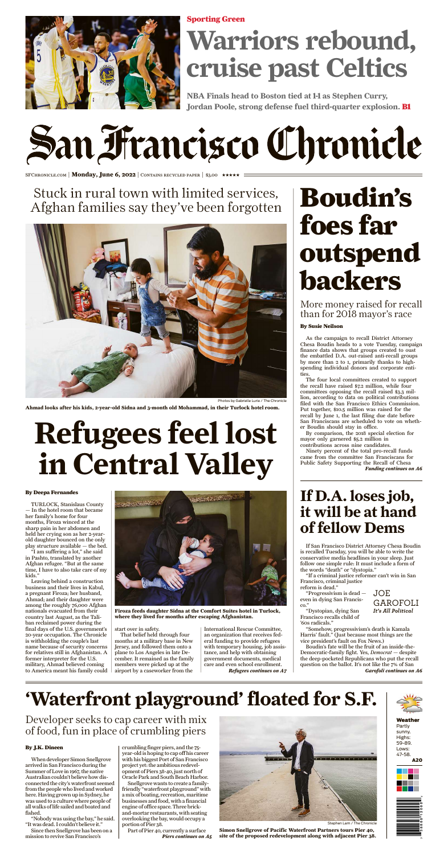### Weather

Partly sunny. Highs: 59-89. Lows: 47-58.

A20





As the campaign to recall District Attorney Chesa Boudin heads to a vote Tuesday, campaign finance data shows that groups created to oust the embattled D.A. out-raised anti-recall groups by more than 2 to 1, primarily thanks to highspending individual donors and corporate entities.

The four local committees created to support the recall have raised \$7.2 million, while four committees opposing the recall raised \$3.3 million, according to data on political contributions filed with the San Francisco Ethics Commission. Put together, \$10.5 million was raised for the recall by June 1, the last filing due date before San Franciscans are scheduled to vote on whether Boudin should stay in office.

In the hotel room that became her family's home for four months, Firoza winced at the sharp pain in her abdomen and held her crying son as her 2-yearold daughter bounced on the only play structure available — the bed.

By comparison, the 2018 special election for mayor only garnered \$5.2 million in contributions across nine candidates.

Ninety percent of the total pro-recall funds came from the committee San Franciscans for Public Safety Supporting the Recall of Chesa *Funding continues on A6*

# Boudin's foes far outspend backers

More money raised for recall than for 2018 mayor's race

### By Susie Neilson

TURLOCK, Stanislaus County

"I am suffering a lot," she said in Pashto, translated by another Afghan refugee. "But at the same time, I have to also take care of my kids."

Leaving behind a construction business and their lives in Kabul, a pregnant Firoza; her husband, Ahmad; and their daughter were among the roughly 76,000 Afghan nationals evacuated from their country last August, as the Taliban reclaimed power during the final days of the U.S. government's 20-year occupation. The Chronicle is withholding the couple's last name because of security concerns for relatives still in Afghanistan. A former interpreter for the U.S. military, Ahmad believed coming to America meant his family could

start over in safety.

Since then Snellgrove has been on a mission to revive San Francisco's

crumbling finger piers, and the 75 year-old is hoping to cap off his career with his biggest Port of San Francisco project yet: the ambitious redevelopment of Piers 38-40, just north of Oracle Park and South Beach Harbor.

That belief held through four months at a military base in New Jersey, and followed them onto a plane to Los Angeles in late December. It remained as the family members were picked up at the airport by a caseworker from the

International Rescue Committee, an organization that receives federal funding to provide refugees with temporary housing, job assistance, and help with obtaining government documents, medical care and even school enrollment. *Refugees continues on A7*

# Stuck in rural town with limited services, Afghan families say they've been forgotten



**Ahmad looks after his kids, 2-year-old Sidna and 3-month old Mohammad, in their Turlock hotel room.**

# **Refugees feel lost in Central Valley**

#### By Deepa Fernandes



**Firoza feeds daughter Sidna at the Comfort Suites hotel in Turlock, where they lived for months after escaping Afghanistan.**

If San Francisco District Attorney Chesa Boudin is recalled Tuesday, you will be able to write the conservative media headlines in your sleep. Just follow one simple rule: It must include a form of the words "death" or "dystopia."

"If a criminal justice reformer can't win in San Francisco, criminal justice reform is dead."

"Progressivism is dead even in dying San Francisco."

"Dystopian, dying San Francisco recalls child of '60s radicals."

"Somehow, progressivism's death is Kamala Harris' fault." (Just because most things are the vice president's fault on Fox News.)

Boudin's fate will be the fruit of an inside-the-Democratic-family fight. Yes, *Democrat —* despite the deep-pocketed Republicans who put the recall question on the ballot. It's not like the 7% of San

**If D.A. loses job,**

# **it will be at hand of fellow Dems**

*Garofoli continues on A6*

## JOE GAROFOLI *It's All Political*

When developer Simon Snellgrove arrived in SanFrancisco during the Summer of Love in 1967, the native Australian couldn't believe how disconnected the city's waterfront seemed from the people who lived and worked here. Having grown up in Sydney, he was used to a culture where people of all walks of life sailed and boated and fished.

"Nobody was using the bay," he said. "It was dead. I couldn't believe it."

Snellgrove wants to create a familyfriendly "waterfront playground" with a mix of boating, recreation, maritime businesses and food, with a financial engine of office space.Three brickand-mortar restaurants, with seating overlooking the bay, would occupy a portion of Pier 38.

Part of Pier 40, currently a surface<br>Piers continues on A5



Stephen Lam / The Chronicle

# **'Waterfront playground' floated for S.F.**



## Developer seeks to cap career with mix of food, fun in place of crumbling piers

### By J.K. Dineen

**Simon Snellgrove of Pacific Waterfront Partners tours Pier 40,** *Piers continues on A5* **site of the proposed redevelopment along with adjacent Pier 38.**

**NBA Finals head to Boston tied at 1-1 as Stephen Curry, Jordan Poole, strong defense fuel third-quarter explosion.** B1

# San Francisco Chronicle

SFCHRONICLE.COM | Monday, June 6, 2022 | CONTAINS RECYCLED PAPER | \$3.00 \*\*\*\*\*

# **Warriors rebound, cruise past Celtics**



Sporting Green